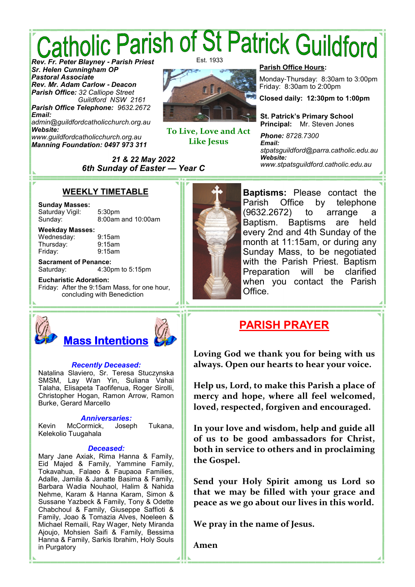# *Catholic Parish of St Patrick Guildford<br>Rev. Er. Peter Blayney - Parish Priest*

*Sr. Helen Cunningham OP Pastoral Associate Rev. Mr. Adam Carlow* **-** *Deacon Parish Office: 32 Calliope Street Guildford NSW 2161 Parish Office Telephone: 9632.2672*

*Email: admin@guildfordcatholicchurch.org.au Website: www.guildfordcatholicchurch.org.au Manning Foundation: 0497 973 311*

Est. 1933



**To Live, Love and Act Like Jesus** 

#### **Parish Office Hours:**

Monday-Thursday: 8:30am to 3:00pm Friday: 8:30am to 2:00pm

**Closed daily: 12:30pm to 1:00pm**

**St. Patrick's Primary School Principal:** Mr. Steven Jones

*Phone: 8728.7300 Email: stpatsguildford@parra.catholic.edu.au Website: www.stpatsguildford.catholic.edu.au*

#### **WEEKLY TIMETABLE**

*21 & 22 May 2022 6th Sunday of Easter* **—** *Year C*

# **Sunday Masses:**

Saturday Vigil: 5:30pm Sunday: 8:00am and 10:00am

#### **Weekday Masses:** Wednesday: 9:15am

Thursday: 9:15am

Friday: 9:15am **Sacrament of Penance:** Saturday: 4:30pm to 5:15pm

**Eucharistic Adoration:** Friday: After the 9:15am Mass, for one hour, concluding with Benediction



**Baptisms:** Please contact the Parish Office by telephone (9632.2672) to arrange a Baptism. Baptisms are held every 2nd and 4th Sunday of the month at 11:15am, or during any Sunday Mass, to be negotiated with the Parish Priest. Baptism Preparation will be clarified when you contact the Parish Office.

## **PARISH PRAYER**

**Loving God we thank you for being with us always. Open our hearts to hear your voice.** 

**Help us, Lord, to make this Parish a place of mercy and hope, where all feel welcomed, loved, respected, forgiven and encouraged.** 

**In your love and wisdom, help and guide all of us to be good ambassadors for Christ, both in service to others and in proclaiming the Gospel.** 

**Send your Holy Spirit among us Lord so that we may be filled with your grace and peace as we go about our lives in this world.** 

**We pray in the name of Jesus.** 

**Amen** 



#### *Recently Deceased:*

Natalina Slaviero, Sr. Teresa Stuczynska SMSM, Lay Wan Yin, Suliana Vahai Talaha, Elisapeta Taofifenua, Roger Sirolli, Christopher Hogan, Ramon Arrow, Ramon Burke, Gerard Marcello

#### *Anniversaries:*

Kevin McCormick, Joseph Tukana, Kelekolio Tuugahala

#### *Deceased:*

Mary Jane Axiak, Rima Hanna & Family, Eid Majed & Family, Yammine Family, Tokavahua, Falaeo & Faupaoa Families, Adalle, Jamila & Janatte Basima & Family, Barbara Wadia Nouhaol, Halim & Nahida Nehme, Karam & Hanna Karam, Simon & Sussane Yazbeck & Family, Tony & Odette Chabchoul & Family, Giuseppe Saffioti & Family, Joao & Tomazia Alves, Noeleen & Michael Remaili, Ray Wager, Nety Miranda Ajoujo, Mohsien Saifi & Family, Bessima Hanna & Family, Sarkis Ibrahim, Holy Souls in Purgatory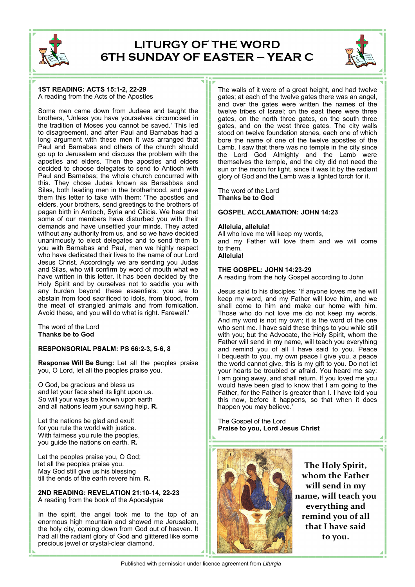

### **LITURGY OF THE WORD 6TH SUNDAY OF EASTER — YEAR C**

#### **1ST READING: ACTS 15:1-2, 22-29** A reading from the Acts of the Apostles

Some men came down from Judaea and taught the brothers, 'Unless you have yourselves circumcised in the tradition of Moses you cannot be saved.' This led to disagreement, and after Paul and Barnabas had a long argument with these men it was arranged that Paul and Barnabas and others of the church should go up to Jerusalem and discuss the problem with the apostles and elders. Then the apostles and elders decided to choose delegates to send to Antioch with Paul and Barnabas; the whole church concurred with this. They chose Judas known as Barsabbas and Silas, both leading men in the brotherhood, and gave them this letter to take with them: 'The apostles and elders, your brothers, send greetings to the brothers of pagan birth in Antioch, Syria and Cilicia. We hear that some of our members have disturbed you with their demands and have unsettled your minds. They acted without any authority from us, and so we have decided unanimously to elect delegates and to send them to you with Barnabas and Paul, men we highly respect who have dedicated their lives to the name of our Lord Jesus Christ. Accordingly we are sending you Judas and Silas, who will confirm by word of mouth what we have written in this letter. It has been decided by the Holy Spirit and by ourselves not to saddle you with any burden beyond these essentials: you are to abstain from food sacrificed to idols, from blood, from the meat of strangled animals and from fornication. Avoid these, and you will do what is right. Farewell.'

The word of the Lord **Thanks be to God**

#### **RESPONSORIAL PSALM: PS 66:2-3, 5-6, 8**

**Response Will Be Sung:** Let all the peoples praise you, O Lord, let all the peoples praise you.

O God, be gracious and bless us and let your face shed its light upon us. So will your ways be known upon earth and all nations learn your saving help. **R.**

Let the nations be glad and exult for you rule the world with justice. With fairness you rule the peoples, you guide the nations on earth. **R.**

Let the peoples praise you, O God; let all the peoples praise you. May God still give us his blessing till the ends of the earth revere him. **R.**

**2ND READING: REVELATION 21:10-14, 22-23** A reading from the book of the Apocalypse

In the spirit, the angel took me to the top of an enormous high mountain and showed me Jerusalem, the holy city, coming down from God out of heaven. It had all the radiant glory of God and glittered like some precious jewel or crystal-clear diamond.

The walls of it were of a great height, and had twelve gates; at each of the twelve gates there was an angel, and over the gates were written the names of the twelve tribes of Israel; on the east there were three gates, on the north three gates, on the south three gates, and on the west three gates. The city walls stood on twelve foundation stones, each one of which bore the name of one of the twelve apostles of the Lamb. I saw that there was no temple in the city since the Lord God Almighty and the Lamb were themselves the temple, and the city did not need the sun or the moon for light, since it was lit by the radiant glory of God and the Lamb was a lighted torch for it.

The word of the Lord **Thanks be to God**

#### **GOSPEL ACCLAMATION: JOHN 14:23**

#### **Alleluia, alleluia!**

All who love me will keep my words, and my Father will love them and we will come to them. **Alleluia!**

#### **THE GOSPEL: JOHN 14:23-29**

A reading from the holy Gospel according to John

Jesus said to his disciples: 'If anyone loves me he will keep my word, and my Father will love him, and we shall come to him and make our home with him. Those who do not love me do not keep my words. And my word is not my own; it is the word of the one who sent me. I have said these things to you while still with you; but the Advocate, the Holy Spirit, whom the Father will send in my name, will teach you everything and remind you of all I have said to you. Peace I bequeath to you, my own peace I give you, a peace the world cannot give, this is my gift to you. Do not let your hearts be troubled or afraid. You heard me say: I am going away, and shall return. If you loved me you would have been glad to know that I am going to the Father, for the Father is greater than I. I have told you this now, before it happens, so that when it does happen you may believe.'

The Gospel of the Lord **Praise to you, Lord Jesus Christ**



**The Holy Spirit, whom the Father will send in my name, will teach you everything and remind you of all that I have said to you.**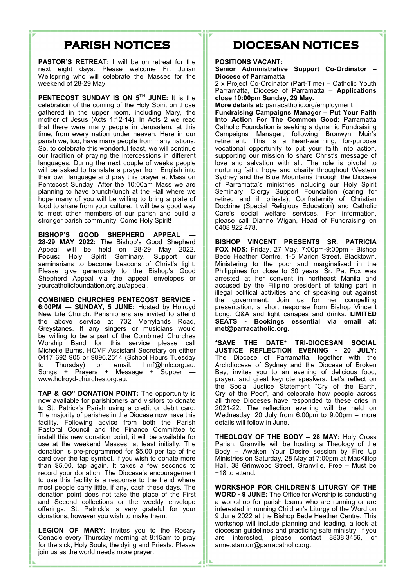## **PARISH NOTICES**

**PASTOR'S RETREAT:** I will be on retreat for the next eight days. Please welcome Fr. Julian Wellspring who will celebrate the Masses for the weekend of 28-29 May.

**PENTECOST SUNDAY IS ON 5TH JUNE:** It is the celebration of the coming of the Holy Spirit on those gathered in the upper room, including Mary, the mother of Jesus (Acts 1:12-14). In Acts 2 we read that there were many people in Jerusalem, at this time, from every nation under heaven. Here in our parish we, too, have many people from many nations. So, to celebrate this wonderful feast, we will continue our tradition of praying the intercessions in different languages. During the next couple of weeks people will be asked to translate a prayer from English into their own language and pray this prayer at Mass on Pentecost Sunday. After the 10:00am Mass we are planning to have brunch/lunch at the Hall where we hope many of you will be willing to bring a plate of food to share from your culture. It will be a good way to meet other members of our parish and build a stronger parish community. Come Holy Spirit!

**BISHOP'S GOOD SHEPHERD APPEAL — 28-29 MAY 2022:** The Bishop's Good Shepherd Appeal will be held on 28-29 May 2022. **Focus:** Holy Spirit Seminary. Support our seminarians to become beacons of Christ's light. Please give generously to the Bishop's Good Shepherd Appeal via the appeal envelopes or yourcatholicfoundation.org.au/appeal.

**COMBINED CHURCHES PENTECOST SERVICE - 6:00PM — SUNDAY, 5 JUNE:** Hosted by Holroyd New Life Church. Parishioners are invited to attend the above service at 732 Merrylands Road, Greystanes. If any singers or musicians would be willing to be a part of the Combined Churches Worship Band for this service please call Michelle Burns, HCMF Assistant Secretary on either 0417 692 905 or 9896.2514 (School Hours Tuesday<br>to Thursday) or email: hmf@hnlc.org.au. to Thursday) or email: Songs + Prayers + Message + Supper – www.holroyd-churches.org.au.

**TAP & GO" DONATION POINT:** The opportunity is now available for parishioners and visitors to donate to St. Patrick's Parish using a credit or debit card. The majority of parishes in the Diocese now have this facility. Following advice from both the Parish Pastoral Council and the Finance Committee to install this new donation point, it will be available for use at the weekend Masses, at least initially. The donation is pre-programmed for \$5.00 per tap of the card over the tap symbol. If you wish to donate more than \$5.00, tap again. It takes a few seconds to record your donation. The Diocese's encouragement to use this facility is a response to the trend where most people carry little, if any, cash these days. The donation point does not take the place of the First and Second collections or the weekly envelope offerings. St. Patrick's is very grateful for your donations, however you wish to make them.

**LEGION OF MARY:** Invites you to the Rosary Cenacle every Thursday morning at 8:15am to pray for the sick, Holy Souls, the dying and Priests. Please join us as the world needs more prayer.

## **DIOCESAN NOTICES**

#### **POSITIONS VACANT:**

**Senior Administrative Support Co-Ordinator – Diocese of Parramatta**

2 x Project Co-Ordinator (Part-Time) – Catholic Youth Parramatta, Diocese of Parramatta – **Applications close 10:00pm Sunday, 29 May.**

**More details at:** parracatholic.org/employment

**Fundraising Campaigns Manager – Put Your Faith Into Action For The Common Good**: Parramatta Catholic Foundation is seeking a dynamic Fundraising Campaigns Manager, following Bronwyn Muir's retirement. This is a heart-warming, for-purpose vocational opportunity to put your faith into action, supporting our mission to share Christ's message of love and salvation with all. The role is pivotal to nurturing faith, hope and charity throughout Western Sydney and the Blue Mountains through the Diocese of Parramatta's ministries including our Holy Spirit Seminary, Clergy Support Foundation (caring for retired and ill priests), Confraternity of Christian Doctrine (Special Religious Education) and Catholic Care's social welfare services. For information, please call Dianne Wigan, Head of Fundraising on 0408 922 478.

**BISHOP VINCENT PRESENTS SR. PATRICIA FOX NDS:** Friday, 27 May, 7:00pm-9:00pm - Bishop Bede Heather Centre, 1-5 Marion Street, Blacktown. Ministering to the poor and marginalised in the Philippines for close to 30 years, Sr. Pat Fox was arrested at her convent in northeast Manila and accused by the Filipino president of taking part in illegal political activities and of speaking out against the government. Join us for her compelling presentation, a short response from Bishop Vincent Long, Q&A and light canapes and drinks. **LIMITED SEATS - Bookings essential via email at: met@parracatholic.org.**

**\*SAVE THE DATE\* TRI-DIOCESAN SOCIAL JUSTICE REFLECTION EVENING - 20 JULY:** The Diocese of Parramatta, together with the Archdiocese of Sydney and the Diocese of Broken Bay, invites you to an evening of delicious food, prayer, and great keynote speakers. Let's reflect on the Social Justice Statement "Cry of the Earth, Cry of the Poor", and celebrate how people across all three Dioceses have responded to these cries in 2021-22. The reflection evening will be held on Wednesday, 20 July from 6:00pm to 9:00pm – more details will follow in June.

**THEOLOGY OF THE BODY – 28 MAY:** Holy Cross Parish, Granville will be hosting a Theology of the Body – Awaken Your Desire session by Fire Up Ministries on Saturday, 28 May at 7:00pm at MacKillop Hall, 38 Grimwood Street, Granville. Free – Must be +18 to attend.

**WORKSHOP FOR CHILDREN'S LITURGY OF THE WORD - 9 JUNE:** The Office for Worship is conducting a workshop for parish teams who are running or are interested in running Children's Liturgy of the Word on 9 June 2022 at the Bishop Bede Heather Centre. This workshop will include planning and leading, a look at diocesan guidelines and practicing safe ministry. If you are interested, please contact 8838.3456, or anne.stanton@parracatholic.org.